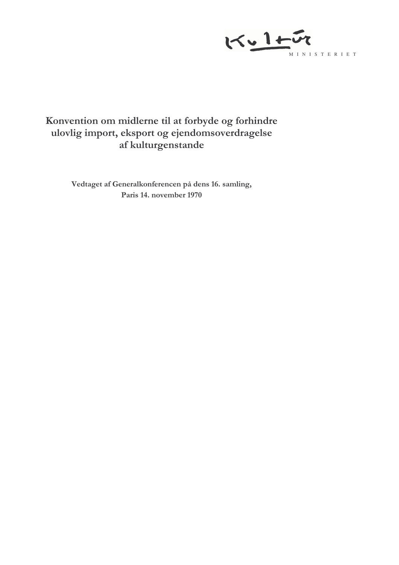

# Konvention om midlerne til at forbyde og forhindre ulovlig import, eksport og ejendomsoverdragelse af kulturgenstande

Vedtaget af Generalkonferencen på dens 16. samling, Paris 14. november 1970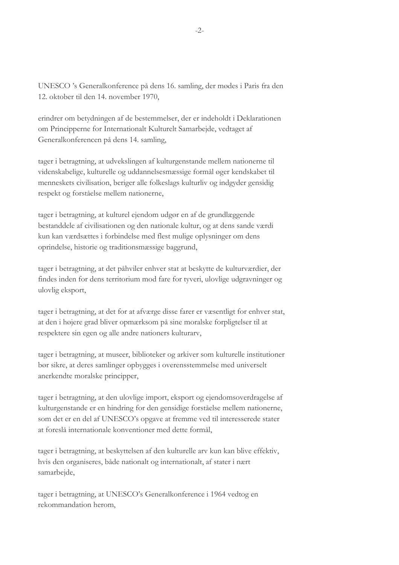UNESCO 's Generalkonference på dens 16. samling, der mødes i Paris fra den 12. oktober til den 14. november 1970,

erindrer om betydningen af de bestemmelser, der er indeholdt i Deklarationen om Principperne for Internationalt Kulturelt Samarbejde, vedtaget af Generalkonferencen på dens 14. samling,

tager i betragtning, at udvekslingen af kulturgenstande mellem nationerne til videnskabelige, kulturelle og uddannelsesmæssige formål øger kendskabet til menneskets civilisation, beriger alle folkeslags kulturliv og indgyder gensidig respekt og forståelse mellem nationerne,

tager i betragtning, at kulturel ejendom udgør en af de grundlæggende bestanddele af civilisationen og den nationale kultur, og at dens sande værdi kun kan værdsættes i forbindelse med flest mulige oplysninger om dens oprindelse, historie og traditionsmæssige baggrund,

tager i betragtning, at det påhviler enhver stat at beskytte de kulturværdier, der findes inden for dens territorium mod fare for tyveri, ulovlige udgravninger og ulovlig eksport,

tager i betragtning, at det for at afværge disse farer er væsentligt for enhver stat, at den i højere grad bliver opmærksom på sine moralske forpligtelser til at respektere sin egen og alle andre nationers kulturarv,

tager i betragtning, at museer, biblioteker og arkiver som kulturelle institutioner bør sikre, at deres samlinger opbygges i overensstemmelse med universelt anerkendte moralske principper,

tager i betragtning, at den ulovlige import, eksport og ejendomsoverdragelse af kulturgenstande er en hindring for den gensidige forståelse mellem nationerne, som det er en del af UNESCO's opgave at fremme ved til interesserede stater at foreslå internationale konventioner med dette formål,

tager i betragtning, at beskyttelsen af den kulturelle arv kun kan blive effektiv, hvis den organiseres, både nationalt og internationalt, af stater i nært samarbeide.

tager i betragtning, at UNESCO's Generalkonference i 1964 vedtog en rekommandation herom,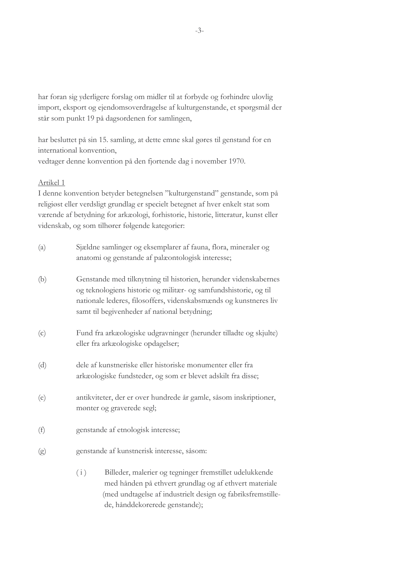har foran sig yderligere forslag om midler til at forbyde og forhindre ulovlig import, eksport og ejendomsoverdragelse af kulturgenstande, et spørgsmål der står som punkt 19 på dagsordenen for samlingen,

har besluttet på sin 15. samling, at dette emne skal gøres til genstand for en international konvention, vedtager denne konvention på den fjortende dag i november 1970.

### Artikel 1

I denne konvention betyder betegnelsen "kulturgenstand" genstande, som på religiøst eller verdsligt grundlag er specielt betegnet af hver enkelt stat som værende af betydning for arkæologi, forhistorie, historie, litteratur, kunst eller videnskab, og som tilhører følgende kategorier:

| (a) | Sjældne samlinger og eksemplarer af fauna, flora, mineraler og<br>anatomi og genstande af palæontologisk interesse;                                                                                                                                       |  |  |
|-----|-----------------------------------------------------------------------------------------------------------------------------------------------------------------------------------------------------------------------------------------------------------|--|--|
| (b) | Genstande med tilknytning til historien, herunder videnskabernes<br>og teknologiens historie og militær- og samfundshistorie, og til<br>nationale lederes, filosoffers, videnskabsmænds og kunstneres liv<br>samt til begivenheder af national betydning; |  |  |
| (c) | Fund fra arkæologiske udgravninger (herunder tilladte og skjulte)<br>eller fra arkæologiske opdagelser;                                                                                                                                                   |  |  |
| (d) | dele af kunstneriske eller historiske monumenter eller fra<br>arkæologiske fundsteder, og som er blevet adskilt fra disse;                                                                                                                                |  |  |
| (e) | antikviteter, der er over hundrede år gamle, såsom inskriptioner,<br>mønter og graverede segl;                                                                                                                                                            |  |  |
| (f) | genstande af etnologisk interesse;                                                                                                                                                                                                                        |  |  |
| (g) | genstande af kunstnerisk interesse, såsom:                                                                                                                                                                                                                |  |  |
|     | Billeder, malerier og tegninger fremstillet udelukkende<br>(i)                                                                                                                                                                                            |  |  |

med hånden på ethvert grundlag og af ethvert materiale (med undtagelse af industrielt design og fabriksfremstillede, hånddekorerede genstande);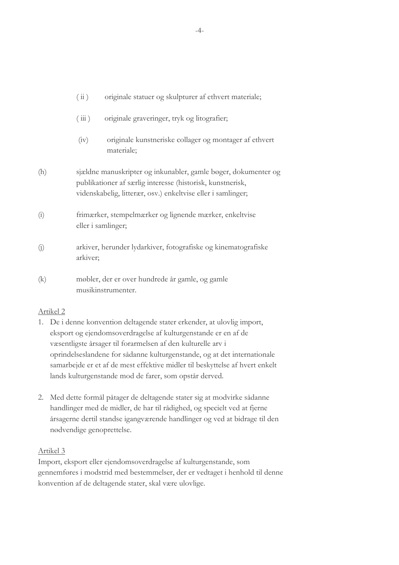|     | (iii)                                                                                                                                                                                        | originale statuer og skulpturer af ethvert materiale;                 |  |
|-----|----------------------------------------------------------------------------------------------------------------------------------------------------------------------------------------------|-----------------------------------------------------------------------|--|
|     | (iii)                                                                                                                                                                                        | originale graveringer, tryk og litografier;                           |  |
|     | (iv)                                                                                                                                                                                         | originale kunstneriske collager og montager af ethvert<br>materiale;  |  |
| (h) | sjældne manuskripter og inkunabler, gamle bøger, dokumenter og<br>publikationer af særlig interesse (historisk, kunstnerisk,<br>videnskabelig, litterær, osv.) enkeltvise eller i samlinger; |                                                                       |  |
| (i) | frimærker, stempelmærker og lignende mærker, enkeltvise<br>eller i samlinger;                                                                                                                |                                                                       |  |
| (j) | arkiver, herunder lydarkiver, fotografiske og kinematografiske<br>arkiver;                                                                                                                   |                                                                       |  |
| (k) |                                                                                                                                                                                              | møbler, der er over hundrede år gamle, og gamle<br>musikinstrumenter. |  |

# Artikel<sub>2</sub>

- 1. De i denne konvention deltagende stater erkender, at ulovlig import, eksport og ejendomsoverdragelse af kulturgenstande er en af de væsentligste årsager til forarmelsen af den kulturelle arv i oprindelseslandene for sådanne kulturgenstande, og at det internationale samarbejde er et af de mest effektive midler til beskyttelse af hvert enkelt lands kulturgenstande mod de farer, som opstår derved.
- 2. Med dette formål påtager de deltagende stater sig at modvirke sådanne handlinger med de midler, de har til rådighed, og specielt ved at fjerne årsagerne dertil standse igangværende handlinger og ved at bidrage til den nødvendige genoprettelse.

# Artikel 3

Import, eksport eller ejendomsoverdragelse af kulturgenstande, som gennemføres i modstrid med bestemmelser, der er vedtaget i henhold til denne konvention af de deltagende stater, skal være ulovlige.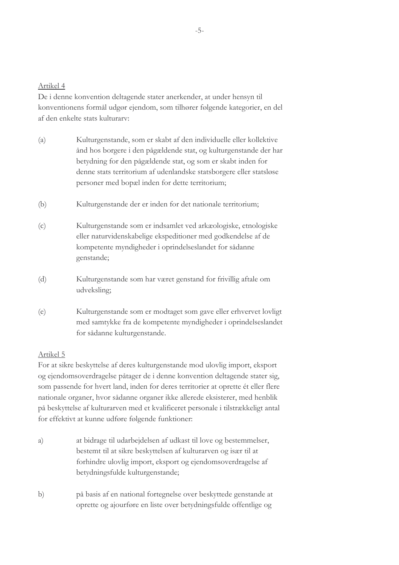De i denne konvention deltagende stater anerkender, at under hensyn til konventionens formål udgør ejendom, som tilhører følgende kategorier, en del af den enkelte stats kulturarv:

- Kulturgenstande, som er skabt af den individuelle eller kollektive  $(a)$ ånd hos borgere i den pågældende stat, og kulturgenstande der har betydning for den pågældende stat, og som er skabt inden for denne stats territorium af udenlandske statsborgere eller statsløse personer med bopæl inden for dette territorium;
- $(b)$ Kulturgenstande der er inden for det nationale territorium;
- Kulturgenstande som er indsamlet ved arkæologiske, etnologiske  $(c)$ eller naturvidenskabelige ekspeditioner med godkendelse af de kompetente myndigheder i oprindelseslandet for sådanne genstande;
- $(d)$ Kulturgenstande som har været genstand for frivillig aftale om udveksling;
- Kulturgenstande som er modtaget som gave eller erhvervet lovligt  $(e)$ med samtykke fra de kompetente myndigheder i oprindelseslandet for sådanne kulturgenstande.

#### Artikel 5

For at sikre beskyttelse af deres kulturgenstande mod ulovlig import, eksport og ejendomsoverdragelse påtager de i denne konvention deltagende stater sig, som passende for hvert land, inden for deres territorier at oprette ét eller flere nationale organer, hvor sådanne organer ikke allerede eksisterer, med henblik på beskyttelse af kulturarven med et kvalificeret personale i tilstrækkeligt antal for effektivt at kunne udføre følgende funktioner:

- at bidrage til udarbejdelsen af udkast til love og bestemmelser, a) bestemt til at sikre beskyttelsen af kulturarven og især til at forhindre ulovlig import, eksport og ejendomsoverdragelse af betydningsfulde kulturgenstande;
- $b)$ på basis af en national fortegnelse over beskyttede genstande at oprette og ajourføre en liste over betydningsfulde offentlige og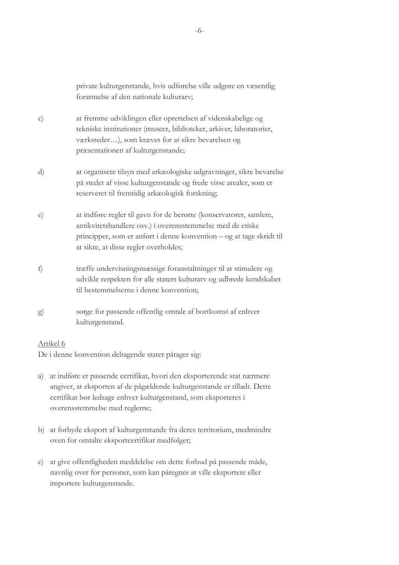|              | private kulturgenstande, hvis udførelse ville udgøre en væsentlig<br>forarmelse af den nationale kulturarv;                                                                                                                                       |
|--------------|---------------------------------------------------------------------------------------------------------------------------------------------------------------------------------------------------------------------------------------------------|
| $\mathbf{C}$ | at fremme udviklingen eller oprettelsen af videnskabelige og<br>tekniske institutioner (museer, biblioteker, arkiver, laboratorier,<br>værksteder), som kræves for at sikre bevarelsen og<br>præsentationen af kulturgenstande;                   |
| d)           | at organisere tilsyn med arkæologiske udgravninger, sikre bevarelse<br>på stedet af visse kulturgenstande og frede visse arealer, som er<br>reserveret til fremtidig arkæologisk forskning;                                                       |
| e)           | at indføre regler til gavn for de berørte (konservatorer, samlere,<br>antikvitetshandlere osv.) i overensstemmelse med de etiske<br>principper, som er anført i denne konvention - og at tage skridt til<br>at sikre, at disse regler overholdes; |
| f)           | træffe undervisningsmæssige foranstaltninger til at stimulere og<br>udvikle respekten for alle staters kulturarv og udbrede kendskabet<br>til bestemmelserne i denne konvention;                                                                  |
| g)           | sørge for passende offentlig omtale af bortkomst af enhver<br>kulturgenstand.                                                                                                                                                                     |

De i denne konvention deltagende stater påtager sig:

- a) at indføre et passende certifikat, hvori den eksporterende stat nærmere angiver, at eksporten af de pågældende kulturgenstande er tilladt. Dette certifikat bør ledsage enhver kulturgenstand, som eksporteres i overensstemmelse med reglerne;
- b) at forbyde eksport af kulturgenstande fra deres territorium, medmindre oven for omtalte eksportcertifikat medfølger;
- c) at give offentligheden meddelelse om dette forbud på passende måde, navnlig over for personer, som kan påregnes at ville eksportere eller importere kulturgenstande.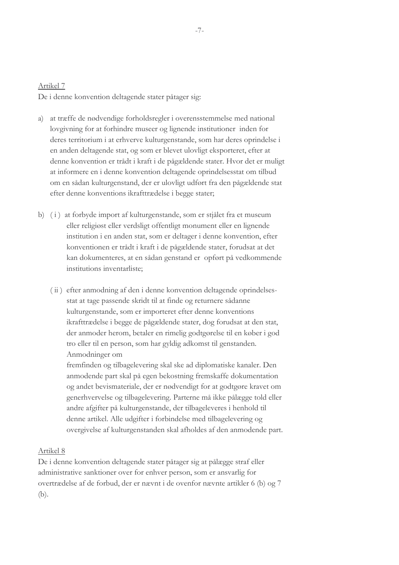De i denne konvention deltagende stater påtager sig:

- a) at træffe de nødvendige forholdsregler i overensstemmelse med national lovgivning for at forhindre museer og lignende institutioner inden for deres territorium i at erhverve kulturgenstande, som har deres oprindelse i en anden deltagende stat, og som er blevet ulovligt eksporteret, efter at denne konvention er trådt i kraft i de pågældende stater. Hvor det er muligt at informere en i denne konvention deltagende oprindelsesstat om tilbud om en sådan kulturgenstand, der er ulovligt udført fra den pågældende stat efter denne konventions ikrafttrædelse i begge stater;
- b) (i) at forbyde import af kulturgenstande, som er stjålet fra et museum eller religiøst eller verdsligt offentligt monument eller en lignende institution i en anden stat, som er deltager i denne konvention, efter konventionen er trådt i kraft i de pågældende stater, forudsat at det kan dokumenteres, at en sådan genstand er opført på vedkommende institutions inventarliste:
	- (ii) efter anmodning af den i denne konvention deltagende oprindelsesstat at tage passende skridt til at finde og returnere sådanne kulturgenstande, som er importeret efter denne konventions ikrafttrædelse i begge de pågældende stater, dog forudsat at den stat, der anmoder herom, betaler en rimelig godtgørelse til en køber i god tro eller til en person, som har gyldig adkomst til genstanden. Anmodninger om

fremfinden og tilbagelevering skal ske ad diplomatiske kanaler. Den anmodende part skal på egen bekostning fremskaffe dokumentation og andet bevismateriale, der er nødvendigt for at godtgøre kravet om generhvervelse og tilbagelevering. Parterne må ikke pålægge told eller andre afgifter på kulturgenstande, der tilbageleveres i henhold til denne artikel. Alle udgifter i forbindelse med tilbagelevering og overgivelse af kulturgenstanden skal afholdes af den anmodende part.

#### Artikel 8

De i denne konvention deltagende stater påtager sig at pålægge straf eller administrative sanktioner over for enhver person, som er ansvarlig for overtrædelse af de forbud, der er nævnt i de ovenfor nævnte artikler 6 (b) og 7  $(b).$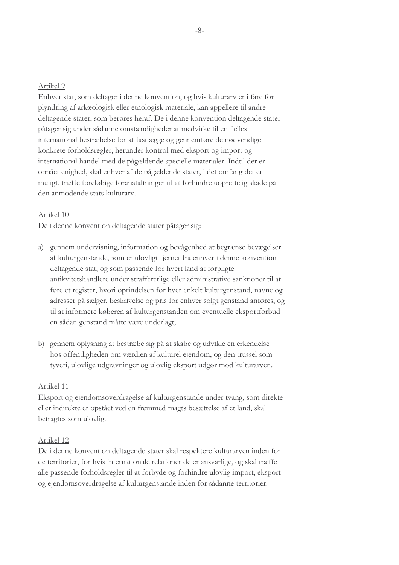Enhver stat, som deltager i denne konvention, og hvis kulturarv er i fare for plyndring af arkæologisk eller etnologisk materiale, kan appellere til andre deltagende stater, som berøres heraf. De i denne konvention deltagende stater påtager sig under sådanne omstændigheder at medvirke til en fælles international bestræbelse for at fastlægge og gennemføre de nødvendige konkrete forholdsregler, herunder kontrol med eksport og import og international handel med de pågældende specielle materialer. Indtil der er opnået enighed, skal enhver af de pågældende stater, i det omfang det er muligt, træffe foreløbige foranstaltninger til at forhindre uoprettelig skade på den anmodende stats kulturary.

#### Artikel 10

De i denne konvention deltagende stater påtager sig:

- a) gennem undervisning, information og bevågenhed at begrænse bevægelser af kulturgenstande, som er ulovligt fjernet fra enhver i denne konvention deltagende stat, og som passende for hvert land at forpligte antikvitetshandlere under strafferetlige eller administrative sanktioner til at føre et register, hvori oprindelsen for hver enkelt kulturgenstand, navne og adresser på sælger, beskrivelse og pris for enhver solgt genstand anføres, og til at informere køberen af kulturgenstanden om eventuelle eksportforbud en sådan genstand måtte være underlagt;
- b) gennem oplysning at bestræbe sig på at skabe og udvikle en erkendelse hos offentligheden om værdien af kulturel ejendom, og den trussel som tyveri, ulovlige udgravninger og ulovlig eksport udgør mod kulturarven.

#### Artikel 11

Eksport og ejendomsoverdragelse af kulturgenstande under tvang, som direkte eller indirekte er opstået ved en fremmed magts besættelse af et land, skal betragtes som ulovlig.

#### Artikel 12

De i denne konvention deltagende stater skal respektere kulturarven inden for de territorier, for hvis internationale relationer de er ansvarlige, og skal træffe alle passende forholdsregler til at forbyde og forhindre ulovlig import, eksport og ejendomsoverdragelse af kulturgenstande inden for sådanne territorier.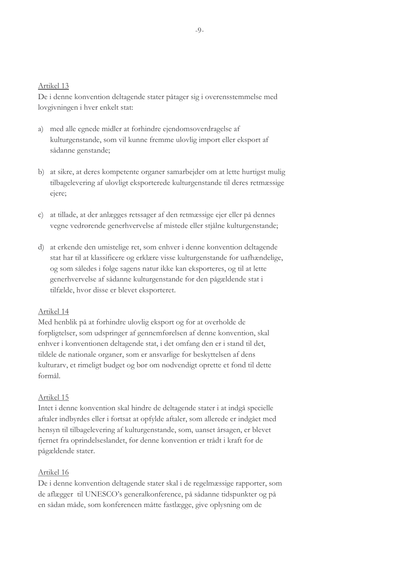De i denne konvention deltagende stater påtager sig i overensstemmelse med lovgivningen i hver enkelt stat:

- a) med alle egnede midler at forhindre ejendomsoverdragelse af kulturgenstande, som vil kunne fremme ulovlig import eller eksport af sådanne genstande;
- b) at sikre, at deres kompetente organer samarbejder om at lette hurtigst mulig tilbagelevering af ulovligt eksporterede kulturgenstande til deres retmæssige ejere;
- c) at tillade, at der anlægges retssager af den retmæssige ejer eller på dennes vegne vedrørende generhvervelse af mistede eller stjålne kulturgenstande;
- d) at erkende den umistelige ret, som enhver i denne konvention deltagende stat har til at klassificere og erklære visse kulturgenstande for uafhændelige, og som således i følge sagens natur ikke kan eksporteres, og til at lette generhvervelse af sådanne kulturgenstande for den pågældende stat i tilfælde, hvor disse er blevet eksporteret.

#### Artikel 14

Med henblik på at forhindre ulovlig eksport og for at overholde de forpligtelser, som udspringer af gennemførelsen af denne konvention, skal enhver i konventionen deltagende stat, i det omfang den er i stand til det, tildele de nationale organer, som er ansvarlige for beskyttelsen af dens kulturarv, et rimeligt budget og bør om nødvendigt oprette et fond til dette formål.

#### Artikel 15

Intet i denne konvention skal hindre de deltagende stater i at indgå specielle aftaler indbyrdes eller i fortsat at opfylde aftaler, som allerede er indgået med hensyn til tilbagelevering af kulturgenstande, som, uanset årsagen, er blevet fjernet fra oprindelseslandet, før denne konvention er trådt i kraft for de pågældende stater.

#### Artikel 16

De i denne konvention deltagende stater skal i de regelmæssige rapporter, som de aflægger til UNESCO's generalkonference, på sådanne tidspunkter og på en sådan måde, som konferencen måtte fastlægge, give oplysning om de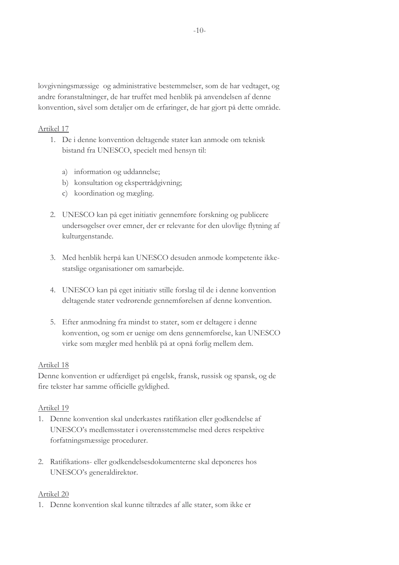lovgivningsmæssige og administrative bestemmelser, som de har vedtaget, og andre foranstaltninger, de har truffet med henblik på anvendelsen af denne konvention, såvel som detaljer om de erfaringer, de har gjort på dette område.

# Artikel 17

- 1. De i denne konvention deltagende stater kan anmode om teknisk bistand fra UNESCO, specielt med hensyn til:
	- a) information og uddannelse;
	- b) konsultation og ekspertrådgivning;
	- c) koordination og mægling.
- 2. UNESCO kan på eget initiativ gennemføre forskning og publicere undersøgelser over emner, der er relevante for den ulovlige flytning af kulturgenstande.
- 3. Med henblik herpå kan UNESCO desuden anmode kompetente ikkestatslige organisationer om samarbejde.
- 4. UNESCO kan på eget initiativ stille forslag til de i denne konvention deltagende stater vedrørende gennemførelsen af denne konvention.
- 5. Efter anmodning fra mindst to stater, som er deltagere i denne konvention, og som er uenige om dens gennemførelse, kan UNESCO virke som mægler med henblik på at opnå forlig mellem dem.

#### Artikel 18

Denne konvention er udfærdiget på engelsk, fransk, russisk og spansk, og de fire tekster har samme officielle gyldighed.

#### Artikel 19

- 1. Denne konvention skal underkastes ratifikation eller godkendelse af UNESCO's medlemsstater i overensstemmelse med deres respektive forfatningsmæssige procedurer.
- 2. Ratifikations- eller godkendelsesdokumenterne skal deponeres hos UNESCO's generaldirektør.

#### Artikel 20

1. Denne konvention skal kunne tiltrædes af alle stater, som ikke er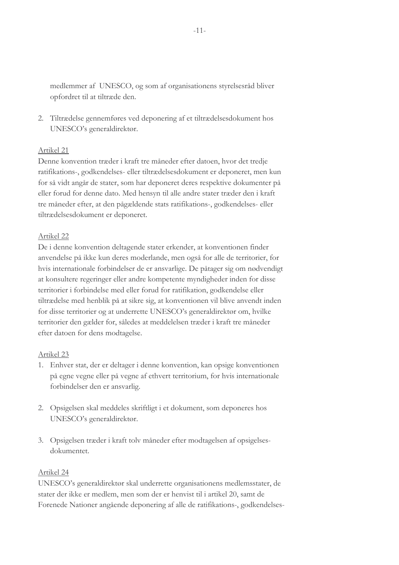medlemmer af UNESCO, og som af organisationens styrelsesråd bliver opfordret til at tiltræde den.

2. Tiltrædelse gennemføres ved deponering af et tiltrædelsesdokument hos UNESCO's generaldirektør.

# Artikel 21

Denne konvention træder i kraft tre måneder efter datoen, hvor det tredje ratifikations-, godkendelses- eller tiltrædelsesdokument er deponeret, men kun for så vidt angår de stater, som har deponeret deres respektive dokumenter på eller forud for denne dato. Med hensyn til alle andre stater træder den i kraft tre måneder efter, at den pågældende stats ratifikations-, godkendelses- eller tiltrædelsesdokument er deponeret.

# Artikel 22

De i denne konvention deltagende stater erkender, at konventionen finder anvendelse på ikke kun deres moderlande, men også for alle de territorier, for hvis internationale forbindelser de er ansvarlige. De påtager sig om nødvendigt at konsultere regeringer eller andre kompetente myndigheder inden for disse territorier i forbindelse med eller forud for ratifikation, godkendelse eller tiltrædelse med henblik på at sikre sig, at konventionen vil blive anvendt inden for disse territorier og at underrette UNESCO's generaldirektør om, hvilke territorier den gælder for, således at meddelelsen træder i kraft tre måneder efter datoen for dens modtagelse.

# Artikel 23

- 1. Enhver stat, der er deltager i denne konvention, kan opsige konventionen på egne vegne eller på vegne af ethvert territorium, for hvis internationale forbindelser den er ansvarlig.
- 2. Opsigelsen skal meddeles skriftligt i et dokument, som deponeres hos UNESCO's generaldirektør.
- 3. Opsigelsen træder i kraft tolv måneder efter modtagelsen af opsigelsesdokumentet.

# Artikel 24

UNESCO's generaldirektør skal underrette organisationens medlemsstater, de stater der ikke er medlem, men som der er henvist til i artikel 20, samt de Forenede Nationer angående deponering af alle de ratifikations-, godkendelses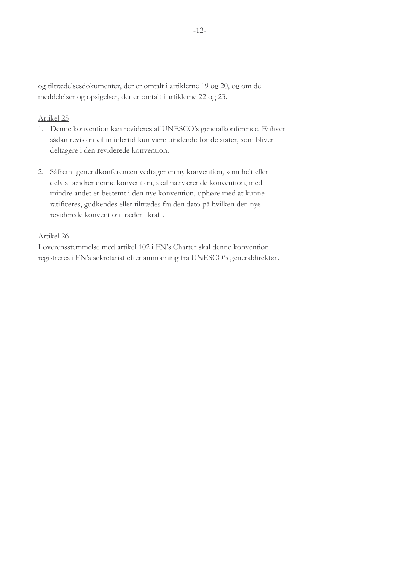og tiltrædelsesdokumenter, der er omtalt i artiklerne 19 og 20, og om de meddelelser og opsigelser, der er omtalt i artiklerne 22 og 23.

#### Artikel 25

- 1. Denne konvention kan revideres af UNESCO's generalkonference. Enhver sådan revision vil imidlertid kun være bindende for de stater, som bliver deltagere i den reviderede konvention.
- 2. Såfremt generalkonferencen vedtager en ny konvention, som helt eller delvist ændrer denne konvention, skal nærværende konvention, med mindre andet er bestemt i den nye konvention, ophøre med at kunne ratificeres, godkendes eller tiltrædes fra den dato på hvilken den nye reviderede konvention træder i kraft.

# Artikel 26

I overensstemmelse med artikel 102 i FN's Charter skal denne konvention registreres i FN's sekretariat efter anmodning fra UNESCO's generaldirektør.